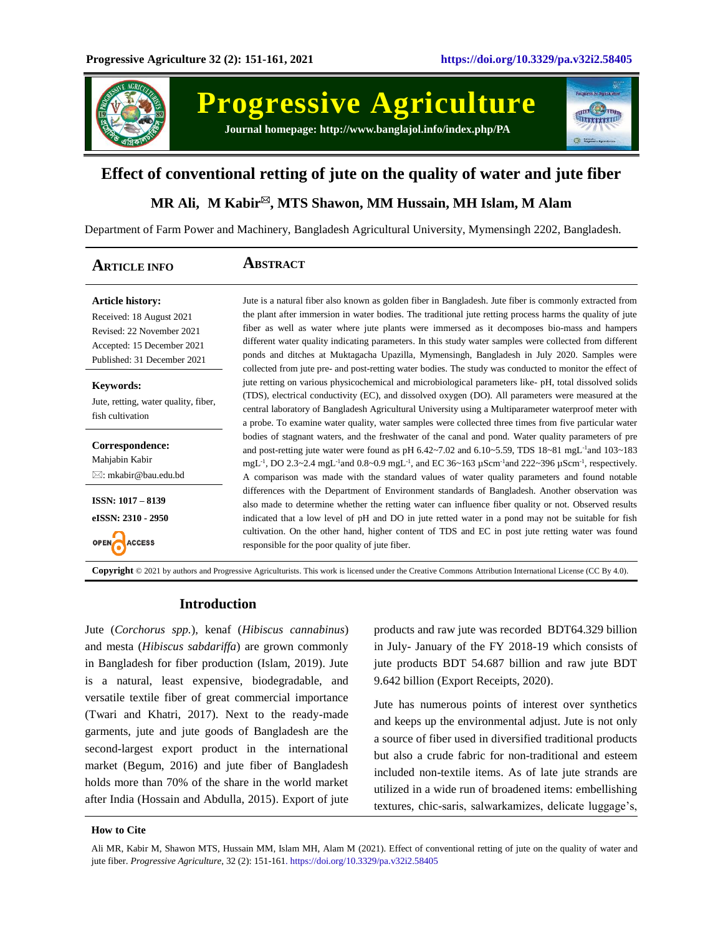

**Progressive Agriculture**





# **Effect of conventional retting of jute on the quality of water and jute fiber**

# **MR Ali, M Kabir, MTS Shawon, MM Hussain, MH Islam, M Alam**

Department of Farm Power and Machinery, Bangladesh Agricultural University, Mymensingh 2202, Bangladesh.

| <b>ARTICLE INFO</b>                                                                                                                           | ABSTRACT                                                                                                                                                                                                                                                                                                                                                                                                                                                                                                                                      |
|-----------------------------------------------------------------------------------------------------------------------------------------------|-----------------------------------------------------------------------------------------------------------------------------------------------------------------------------------------------------------------------------------------------------------------------------------------------------------------------------------------------------------------------------------------------------------------------------------------------------------------------------------------------------------------------------------------------|
| <b>Article history:</b><br>Received: 18 August 2021<br>Revised: 22 November 2021<br>Accepted: 15 December 2021<br>Published: 31 December 2021 | Jute is a natural fiber also known as golden fiber in Bangladesh. Jute fiber is commonly extracted from<br>the plant after immersion in water bodies. The traditional jute retting process harms the quality of jute<br>fiber as well as water where jute plants were immersed as it decomposes bio-mass and hampers<br>different water quality indicating parameters. In this study water samples were collected from different<br>ponds and ditches at Muktagacha Upazilla, Mymensingh, Bangladesh in July 2020. Samples were               |
| <b>Keywords:</b><br>Jute, retting, water quality, fiber,<br>fish cultivation                                                                  | collected from jute pre- and post-retting water bodies. The study was conducted to monitor the effect of<br>jute retting on various physicochemical and microbiological parameters like- pH, total dissolved solids<br>(TDS), electrical conductivity (EC), and dissolved oxygen (DO). All parameters were measured at the<br>central laboratory of Bangladesh Agricultural University using a Multiparameter waterproof meter with<br>a probe. To examine water quality, water samples were collected three times from five particular water |
| Correspondence:<br>Mahjabin Kabir<br>$\boxtimes$ : mkabir@bau.edu.bd                                                                          | bodies of stagnant waters, and the freshwater of the canal and pond. Water quality parameters of pre<br>and post-retting jute water were found as pH $6.42 \times 7.02$ and $6.10 \times 5.59$ , TDS $18 \times 81$ mgL <sup>-1</sup> and $103 \times 183$<br>mgL <sup>-1</sup> , DO 2.3~2.4 mgL <sup>-1</sup> and 0.8~0.9 mgL <sup>-1</sup> , and EC 36~163 $\mu$ Scm <sup>-1</sup> and 222~396 $\mu$ Scm <sup>-1</sup> , respectively.<br>A comparison was made with the standard values of water quality parameters and found notable      |
| <b>ISSN: 1017 - 8139</b><br>eISSN: 2310 - 2950                                                                                                | differences with the Department of Environment standards of Bangladesh. Another observation was<br>also made to determine whether the retting water can influence fiber quality or not. Observed results<br>indicated that a low level of pH and DO in jute retted water in a pond may not be suitable for fish<br>cultivation. On the other hand, higher content of TDS and EC in post jute retting water was found<br>responsible for the poor quality of jute fiber.                                                                       |

**Copyright** © 2021 by authors and Progressive Agriculturists. This work is licensed under the Creative Commons Attribution International License (CC By 4.0).

## **Introduction**

Jute (*Corchorus spp.*), kenaf (*Hibiscus cannabinus*) and mesta (*Hibiscus sabdariffa*) are grown commonly in Bangladesh for fiber production (Islam, 2019). Jute is a natural, least expensive, biodegradable, and versatile textile fiber of great commercial importance (Twari and Khatri, 2017). Next to the ready-made garments, jute and jute goods of Bangladesh are the second-largest export product in the international market (Begum, 2016) and jute fiber of Bangladesh holds more than 70% of the share in the world market after India (Hossain and Abdulla, 2015). Export of jute products and raw jute was recorded BDT64.329 billion in July- January of the FY 2018-19 which consists of jute products BDT 54.687 billion and raw jute BDT 9.642 billion (Export Receipts, 2020).

Jute has numerous points of interest over synthetics and keeps up the environmental adjust. Jute is not only a source of fiber used in diversified traditional products but also a crude fabric for non-traditional and esteem included non-textile items. As of late jute strands are utilized in a wide run of broadened items: embellishing textures, chic-saris, salwarkamizes, delicate luggage's,

#### **How to Cite**

Ali MR, Kabir M, Shawon MTS, Hussain MM, Islam MH, Alam M (2021). Effect of conventional retting of jute on the quality of water and jute fiber. *Progressive Agriculture*, 32 (2): 151-161. https://doi.org/10.3329/pa.v32i2.58405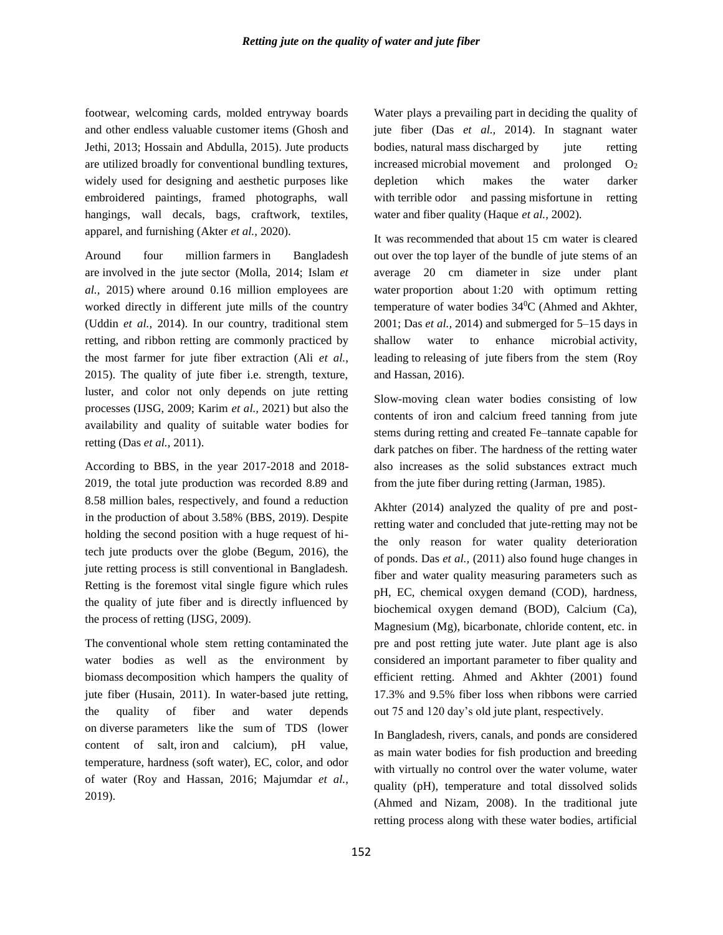footwear, welcoming cards, molded entryway boards and other endless valuable customer items (Ghosh and Jethi, 2013; Hossain and Abdulla, 2015). Jute products are utilized broadly for conventional bundling textures, widely used for designing and aesthetic purposes like embroidered paintings, framed photographs, wall hangings, wall decals, bags, craftwork, textiles, apparel, and furnishing (Akter *et al.,* 2020).

Around four million farmers in Bangladesh are involved in the jute sector (Molla, 2014; Islam *et al.,* 2015) where around 0.16 million employees are worked directly in different jute mills of the country (Uddin *et al.,* 2014). In our country, traditional stem retting, and ribbon retting are commonly practiced by the most farmer for jute fiber extraction (Ali *et al.,* 2015). The quality of jute fiber i.e. strength, texture, luster, and color not only depends on jute retting processes (IJSG, 2009; Karim *et al.,* 2021) but also the availability and quality of suitable water bodies for retting (Das *et al.,* 2011).

According to BBS, in the year 2017-2018 and 2018- 2019, the total jute production was recorded 8.89 and 8.58 million bales, respectively, and found a reduction in the production of about 3.58% (BBS, 2019). Despite holding the second position with a huge request of hitech jute products over the globe (Begum, 2016), the jute retting process is still conventional in Bangladesh. Retting is the foremost vital single figure which rules the quality of jute fiber and is directly influenced by the process of retting (IJSG, 2009).

The conventional whole stem retting contaminated the water bodies as well as the environment by biomass decomposition which hampers the quality of jute fiber (Husain, 2011). In water-based jute retting, the quality of fiber and water depends on diverse parameters like the sum of TDS (lower content of salt, iron and calcium), pH value, temperature, hardness (soft water), EC, color, and odor of water (Roy and Hassan, 2016; Majumdar *et al.,* 2019).

Water plays a prevailing part in deciding the quality of jute fiber (Das *et al.,* 2014). In stagnant water bodies, natural mass discharged by jute retting increased microbial movement and prolonged  $O_2$ depletion which makes the water darker with terrible odor and passing misfortune in retting water and fiber quality (Haque *et al.,* 2002).

It was recommended that about 15 cm water is cleared out over the top layer of the bundle of jute stems of an average 20 cm diameter in size under plant water proportion about 1:20 with optimum retting temperature of water bodies 34<sup>0</sup>C (Ahmed and Akhter, 2001; Das *et al.,* 2014) and submerged for 5–15 days in shallow water to enhance microbial activity, leading to releasing of jute fibers from the stem (Roy and Hassan, 2016).

Slow-moving clean water bodies consisting of low contents of iron and calcium freed tanning from jute stems during retting and created Fe–tannate capable for dark patches on fiber. The hardness of the retting water also increases as the solid substances extract much from the jute fiber during retting (Jarman, 1985).

Akhter (2014) analyzed the quality of pre and postretting water and concluded that jute-retting may not be the only reason for water quality deterioration of ponds. Das *et al.,* (2011) also found huge changes in fiber and water quality measuring parameters such as pH, EC, chemical oxygen demand (COD), hardness, biochemical oxygen demand (BOD), Calcium (Ca), Magnesium (Mg), bicarbonate, chloride content, etc. in pre and post retting jute water. Jute plant age is also considered an important parameter to fiber quality and efficient retting. Ahmed and Akhter (2001) found 17.3% and 9.5% fiber loss when ribbons were carried out 75 and 120 day's old jute plant, respectively.

In Bangladesh, rivers, canals, and ponds are considered as main water bodies for fish production and breeding with virtually no control over the water volume, water quality (pH), temperature and total dissolved solids (Ahmed and Nizam, 2008). In the traditional jute retting process along with these water bodies, artificial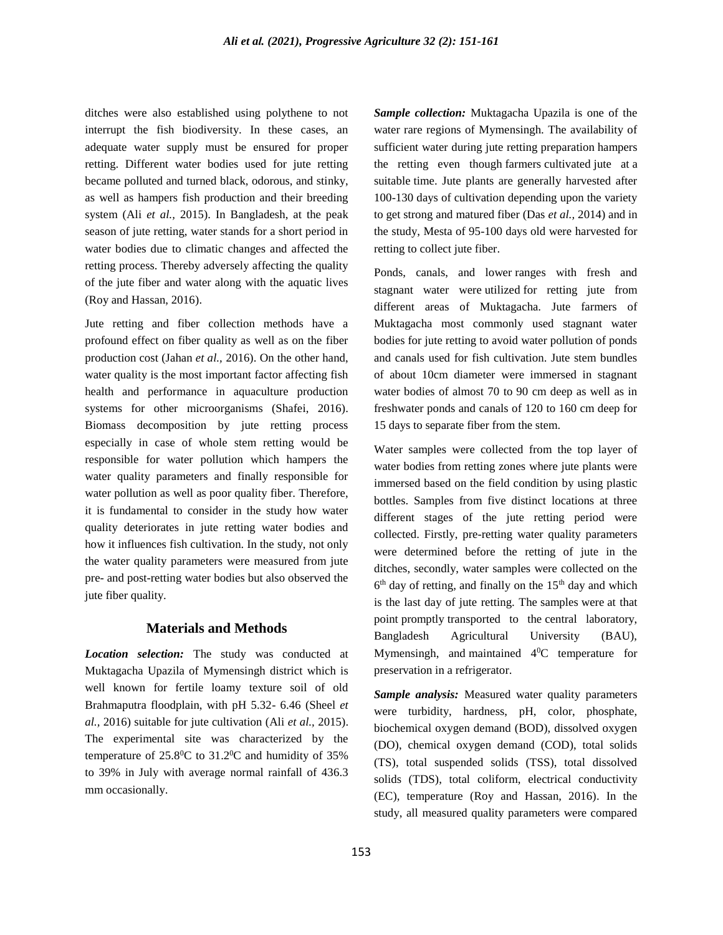ditches were also established using polythene to not interrupt the fish biodiversity. In these cases, an adequate water supply must be ensured for proper retting. Different water bodies used for jute retting became polluted and turned black, odorous, and stinky, as well as hampers fish production and their breeding system (Ali *et al.,* 2015). In Bangladesh, at the peak season of jute retting, water stands for a short period in water bodies due to climatic changes and affected the retting process. Thereby adversely affecting the quality of the jute fiber and water along with the aquatic lives (Roy and Hassan, 2016).

Jute retting and fiber collection methods have a profound effect on fiber quality as well as on the fiber production cost (Jahan *et al.,* 2016). On the other hand, water quality is the most important factor affecting fish health and performance in aquaculture production systems for other microorganisms (Shafei, 2016). Biomass decomposition by jute retting process especially in case of whole stem retting would be responsible for water pollution which hampers the water quality parameters and finally responsible for water pollution as well as poor quality fiber. Therefore, it is fundamental to consider in the study how water quality deteriorates in jute retting water bodies and how it influences fish cultivation. In the study, not only the water quality parameters were measured from jute pre- and post-retting water bodies but also observed the jute fiber quality.

### **Materials and Methods**

*Location selection:* The study was conducted at Muktagacha Upazila of Mymensingh district which is well known for fertile loamy texture soil of old Brahmaputra floodplain, with pH 5.32- 6.46 (Sheel *et al.,* 2016) suitable for jute cultivation (Ali *et al.,* 2015). The experimental site was characterized by the temperature of  $25.8^{\circ}$ C to  $31.2^{\circ}$ C and humidity of 35% to 39% in July with average normal rainfall of 436.3 mm occasionally.

*Sample collection:* Muktagacha Upazila is one of the water rare regions of Mymensingh. The availability of sufficient water during jute retting preparation hampers the retting even though farmers cultivated jute at a suitable time. Jute plants are generally harvested after 100-130 days of cultivation depending upon the variety to get strong and matured fiber (Das *et al.,* 2014) and in the study, Mesta of 95-100 days old were harvested for retting to collect jute fiber.

Ponds, canals, and lower ranges with fresh and stagnant water were utilized for retting jute from different areas of Muktagacha. Jute farmers of Muktagacha most commonly used stagnant water bodies for jute retting to avoid water pollution of ponds and canals used for fish cultivation. Jute stem bundles of about 10cm diameter were immersed in stagnant water bodies of almost 70 to 90 cm deep as well as in freshwater ponds and canals of 120 to 160 cm deep for 15 days to separate fiber from the stem.

Water samples were collected from the top layer of water bodies from retting zones where jute plants were immersed based on the field condition by using plastic bottles. Samples from five distinct locations at three different stages of the jute retting period were collected. Firstly, pre-retting water quality parameters were determined before the retting of jute in the ditches, secondly, water samples were collected on the 6<sup>th</sup> day of retting, and finally on the 15<sup>th</sup> day and which is the last day of jute retting. The samples were at that point promptly transported to the central laboratory, Bangladesh Agricultural University (BAU), Mymensingh, and maintained  $4^0C$  temperature for preservation in a refrigerator.

*Sample analysis:* Measured water quality parameters were turbidity, hardness, pH, color, phosphate, biochemical oxygen demand (BOD), dissolved oxygen (DO), chemical oxygen demand (COD), total solids (TS), total suspended solids (TSS), total dissolved solids (TDS), total coliform, electrical conductivity (EC), temperature (Roy and Hassan, 2016). In the study, all measured quality parameters were compared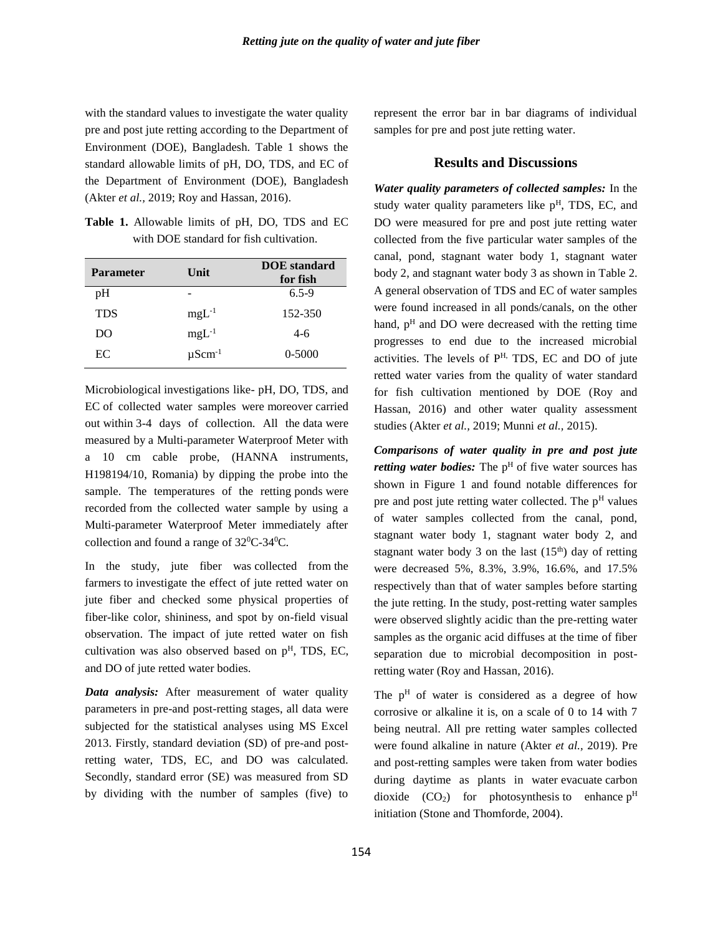with the standard values to investigate the water quality pre and post jute retting according to the Department of Environment (DOE), Bangladesh. Table 1 shows the standard allowable limits of pH, DO, TDS, and EC of the Department of Environment (DOE), Bangladesh (Akter *et al.,* 2019; Roy and Hassan, 2016).

**Table 1.** Allowable limits of pH, DO, TDS and EC with DOE standard for fish cultivation.

| <b>Parameter</b> | Unit                    | <b>DOE</b> standard<br>for fish |  |  |  |  |
|------------------|-------------------------|---------------------------------|--|--|--|--|
| pH               |                         | $6.5 - 9$                       |  |  |  |  |
| <b>TDS</b>       | $mgL^{-1}$              | 152-350                         |  |  |  |  |
| DO               | $mgL^{-1}$              | $4-6$                           |  |  |  |  |
| EC               | $\mu$ Scm <sup>-1</sup> | $0 - 5000$                      |  |  |  |  |

Microbiological investigations like- pH, DO, TDS, and EC of collected water samples were moreover carried out within 3-4 days of collection. All the data were measured by a Multi-parameter Waterproof Meter with a 10 cm cable probe, (HANNA instruments, H198194/10, Romania) by dipping the probe into the sample. The temperatures of the retting ponds were recorded from the collected water sample by using a Multi-parameter Waterproof Meter immediately after collection and found a range of  $32^0C-34^0C$ .

In the study, jute fiber was collected from the farmers to investigate the effect of jute retted water on jute fiber and checked some physical properties of fiber-like color, shininess, and spot by on-field visual observation. The impact of jute retted water on fish cultivation was also observed based on  $p<sup>H</sup>$ , TDS, EC, and DO of jute retted water bodies.

*Data analysis:* After measurement of water quality parameters in pre-and post-retting stages, all data were subjected for the statistical analyses using MS Excel 2013. Firstly, standard deviation (SD) of pre-and postretting water, TDS, EC, and DO was calculated. Secondly, standard error (SE) was measured from SD by dividing with the number of samples (five) to represent the error bar in bar diagrams of individual samples for pre and post jute retting water.

## **Results and Discussions**

*Water quality parameters of collected samples:* In the study water quality parameters like  $p<sup>H</sup>$ , TDS, EC, and DO were measured for pre and post jute retting water collected from the five particular water samples of the canal, pond, stagnant water body 1, stagnant water body 2, and stagnant water body 3 as shown in Table 2. A general observation of TDS and EC of water samples were found increased in all ponds/canals, on the other hand,  $p<sup>H</sup>$  and DO were decreased with the retting time progresses to end due to the increased microbial activities. The levels of  $P<sup>H</sup>$ , TDS, EC and DO of jute retted water varies from the quality of water standard for fish cultivation mentioned by DOE (Roy and Hassan, 2016) and other water quality assessment studies (Akter *et al.,* 2019; Munni *et al.,* 2015).

*Comparisons of water quality in pre and post jute retting water bodies:* The p<sup>H</sup> of five water sources has shown in Figure 1 and found notable differences for pre and post jute retting water collected. The  $p<sup>H</sup>$  values of water samples collected from the canal, pond, stagnant water body 1, stagnant water body 2, and stagnant water body 3 on the last  $(15<sup>th</sup>)$  day of retting were decreased 5%, 8.3%, 3.9%, 16.6%, and 17.5% respectively than that of water samples before starting the jute retting. In the study, post-retting water samples were observed slightly acidic than the pre-retting water samples as the organic acid diffuses at the time of fiber separation due to microbial decomposition in postretting water (Roy and Hassan, 2016).

The  $p<sup>H</sup>$  of water is considered as a degree of how corrosive or alkaline it is, on a scale of 0 to 14 with 7 being neutral. All pre retting water samples collected were found alkaline in nature (Akter *et al.,* 2019). Pre and post-retting samples were taken from water bodies during daytime as plants in water evacuate carbon dioxide  $(CO_2)$  for photosynthesis to enhance  $p<sup>H</sup>$ initiation (Stone and Thomforde, 2004).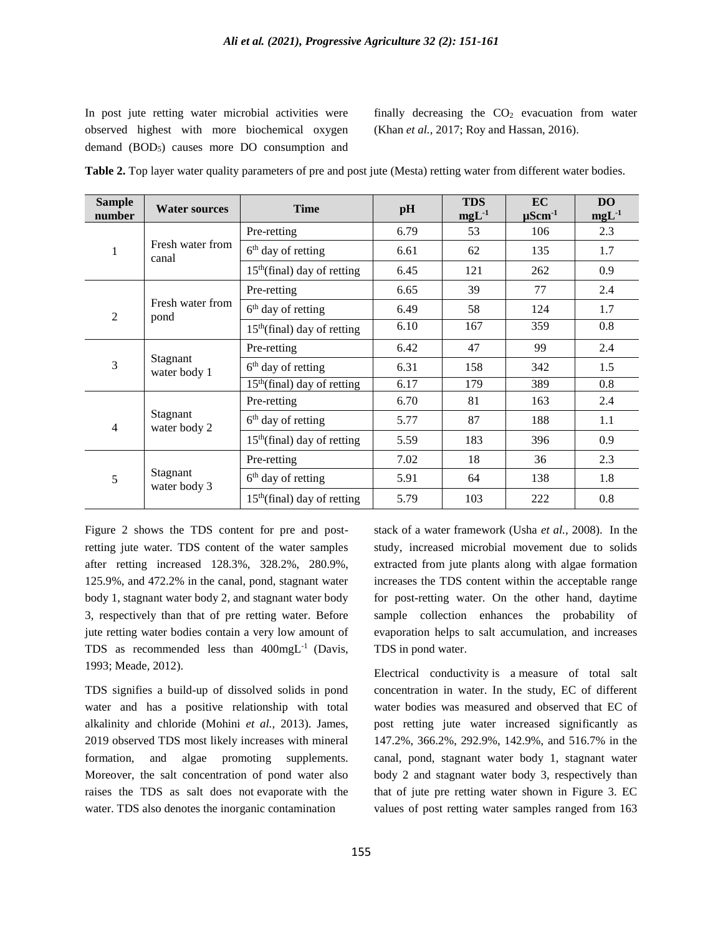In post jute retting water microbial activities were observed highest with more biochemical oxygen demand (BOD<sub>5</sub>) causes more DO consumption and

finally decreasing the  $CO<sub>2</sub>$  evacuation from water (Khan *et al.,* 2017; Roy and Hassan, 2016).

|  |  |  |  | Table 2. Top layer water quality parameters of pre and post jute (Mesta) retting water from different water bodies. |  |  |  |  |  |  |  |  |  |  |
|--|--|--|--|---------------------------------------------------------------------------------------------------------------------|--|--|--|--|--|--|--|--|--|--|
|--|--|--|--|---------------------------------------------------------------------------------------------------------------------|--|--|--|--|--|--|--|--|--|--|

| <b>Sample</b><br>number | <b>Water sources</b>      | <b>Time</b>                             | pH   | <b>TDS</b><br>$mgL^{-1}$ | <b>EC</b><br>$\mu$ Scm <sup>-1</sup>  | <b>DO</b><br>$mgL-1$ |
|-------------------------|---------------------------|-----------------------------------------|------|--------------------------|---------------------------------------|----------------------|
|                         | Fresh water from<br>canal | Pre-retting                             | 6.79 | 53                       | 106                                   | 2.3                  |
| 1                       |                           | 6 <sup>th</sup> day of retting          | 6.61 | 62                       | 135                                   | 1.7                  |
|                         |                           | $15th$ (final) day of retting           | 6.45 | 121                      | 262                                   | 0.9                  |
|                         |                           | Pre-retting                             | 6.65 | 39                       | 77                                    | 2.4                  |
| $\overline{c}$          | Fresh water from<br>pond  | $6th$ day of retting                    | 6.49 | 58                       | 124                                   | 1.7                  |
|                         |                           | $15th$ (final) day of retting           | 6.10 | 167                      | 359                                   | 0.8                  |
|                         | Stagnant<br>water body 1  | Pre-retting                             | 6.42 | 47                       | 99                                    | 2.4                  |
| 3                       |                           | $6th$ day of retting                    | 6.31 | 158                      | 342                                   | 1.5                  |
|                         |                           | $15th$ (final) day of retting           | 6.17 | 179                      | 389<br>163<br>188<br>396<br>36<br>138 | 0.8                  |
| Stagnant<br>4           | Pre-retting               | 6.70                                    | 81   |                          | 2.4                                   |                      |
|                         | water body 2              | $6th$ day of retting                    | 5.77 | 87                       |                                       | 1.1                  |
|                         |                           | 15 <sup>th</sup> (final) day of retting | 5.59 | 183                      |                                       | 0.9                  |
|                         | Stagnant<br>water body 3  | Pre-retting                             | 7.02 | 18                       |                                       | 2.3                  |
| 5                       |                           | $6th$ day of retting                    | 5.91 | 64                       |                                       | 1.8                  |
|                         |                           | $15th$ (final) day of retting           | 5.79 | 103                      | 222                                   | 0.8                  |

Figure 2 shows the TDS content for pre and postretting jute water. TDS content of the water samples after retting increased 128.3%, 328.2%, 280.9%, 125.9%, and 472.2% in the canal, pond, stagnant water body 1, stagnant water body 2, and stagnant water body 3, respectively than that of pre retting water. Before jute retting water bodies contain a very low amount of TDS as recommended less than 400mgL-1 (Davis, 1993; Meade, 2012).

TDS signifies a build-up of dissolved solids in pond water and has a positive relationship with total alkalinity and chloride (Mohini *et al.,* 2013). James, 2019 observed TDS most likely increases with mineral formation, and algae promoting supplements. Moreover, the salt concentration of pond water also raises the TDS as salt does not evaporate with the water. TDS also denotes the inorganic contamination

stack of a water framework (Usha *et al.,* 2008). In the study, increased microbial movement due to solids extracted from jute plants along with algae formation increases the TDS content within the acceptable range for post-retting water. On the other hand, daytime sample collection enhances the probability of evaporation helps to salt accumulation, and increases TDS in pond water.

Electrical conductivity is a measure of total salt concentration in water. In the study, EC of different water bodies was measured and observed that EC of post retting jute water increased significantly as 147.2%, 366.2%, 292.9%, 142.9%, and 516.7% in the canal, pond, stagnant water body 1, stagnant water body 2 and stagnant water body 3, respectively than that of jute pre retting water shown in Figure 3. EC values of post retting water samples ranged from 163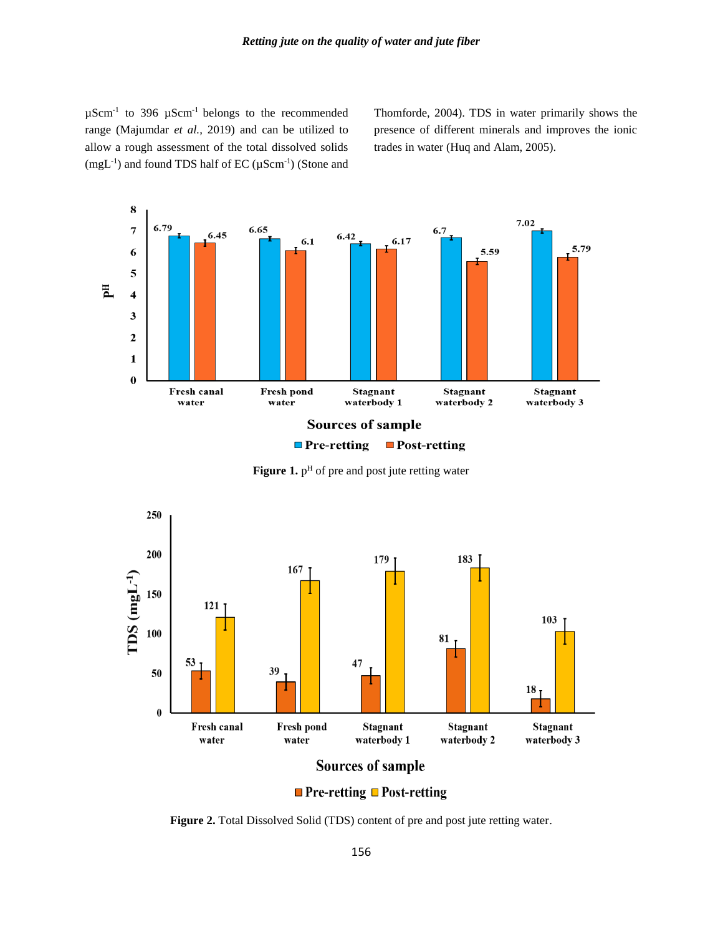$\mu$ Scm<sup>-1</sup> to 396  $\mu$ Scm<sup>-1</sup> belongs to the recommended range (Majumdar *et al.,* 2019) and can be utilized to allow a rough assessment of the total dissolved solids  $(mgL^{-1})$  and found TDS half of EC ( $\mu$ Scm<sup>-1</sup>) (Stone and Thomforde, 2004). TDS in water primarily shows the presence of different minerals and improves the ionic trades in water (Huq and Alam, 2005).



**Figure 1.** p<sup>H</sup> of pre and post jute retting water



 $\blacksquare$  Pre-retting  $\blacksquare$  Post-retting

**Figure 2.** Total Dissolved Solid (TDS) content of pre and post jute retting water.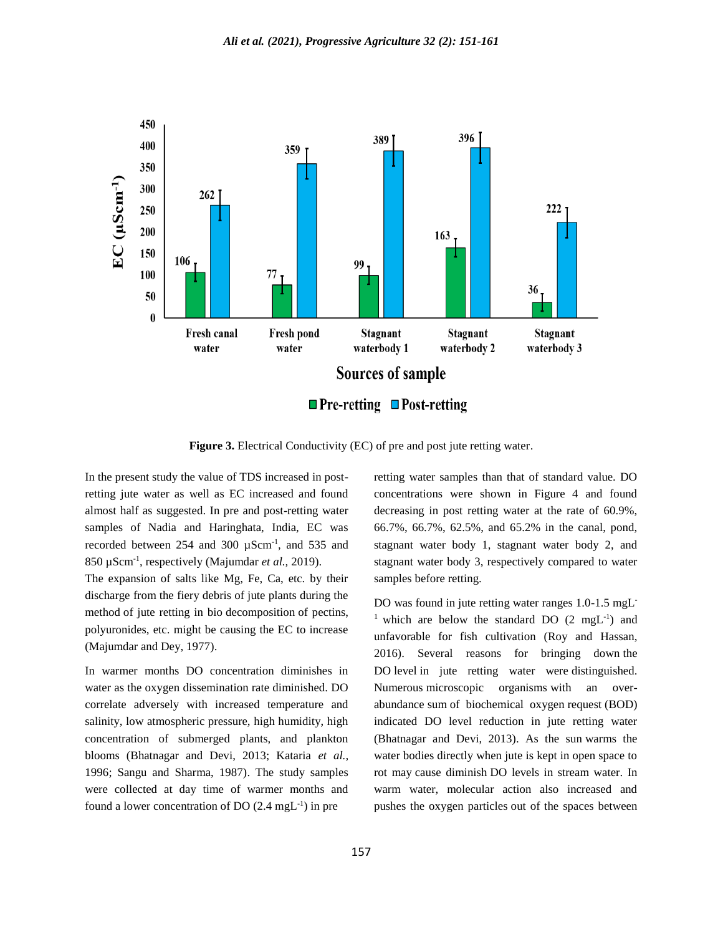

**Figure 3.** Electrical Conductivity (EC) of pre and post jute retting water.

In the present study the value of TDS increased in postretting jute water as well as EC increased and found almost half as suggested. In pre and post-retting water samples of Nadia and Haringhata, India, EC was recorded between 254 and 300 µScm-1 , and 535 and 850 µScm-1 , respectively (Majumdar *et al.,* 2019).

The expansion of salts like Mg, Fe, Ca, etc. by their discharge from the fiery debris of jute plants during the method of jute retting in bio decomposition of pectins, polyuronides, etc. might be causing the EC to increase (Majumdar and Dey, 1977).

In warmer months DO concentration diminishes in water as the oxygen dissemination rate diminished. DO correlate adversely with increased temperature and salinity, low atmospheric pressure, high humidity, high concentration of submerged plants, and plankton blooms (Bhatnagar and Devi, 2013; Kataria *et al.,* 1996; Sangu and Sharma, 1987). The study samples were collected at day time of warmer months and found a lower concentration of DO  $(2.4 \text{ mgL}^{-1})$  in pre

retting water samples than that of standard value. DO concentrations were shown in Figure 4 and found decreasing in post retting water at the rate of 60.9%, 66.7%, 66.7%, 62.5%, and 65.2% in the canal, pond, stagnant water body 1, stagnant water body 2, and stagnant water body 3, respectively compared to water samples before retting.

DO was found in jute retting water ranges 1.0-1.5 mgL-<sup>1</sup> which are below the standard DO  $(2 \text{ mgL}^{-1})$  and unfavorable for fish cultivation (Roy and Hassan, 2016). Several reasons for bringing down the DO level in jute retting water were distinguished. Numerous microscopic organisms with an overabundance sum of biochemical oxygen request (BOD) indicated DO level reduction in jute retting water (Bhatnagar and Devi, 2013). As the sun warms the water bodies directly when jute is kept in open space to rot may cause diminish DO levels in stream water. In warm water, molecular action also increased and pushes the oxygen particles out of the spaces between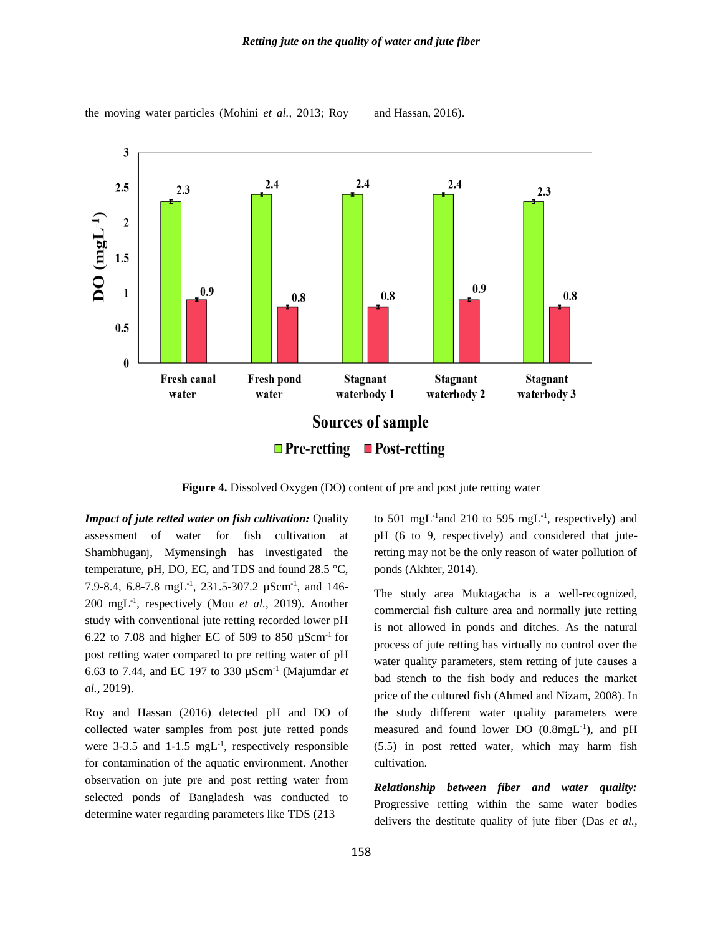the moving water particles (Mohini *et al.,* 2013; Roy and Hassan, 2016).



**Figure 4.** Dissolved Oxygen (DO) content of pre and post jute retting water

*Impact of jute retted water on fish cultivation:* Quality assessment of water for fish cultivation at Shambhuganj, Mymensingh has investigated the temperature, pH, DO, EC, and TDS and found 28.5 °C, 7.9-8.4, 6.8-7.8 mgL<sup>-1</sup>, 231.5-307.2  $\mu$ Scm<sup>-1</sup>, and 146-200 mgL-1 , respectively (Mou *et al.,* 2019). Another study with conventional jute retting recorded lower pH 6.22 to 7.08 and higher EC of 509 to 850  $\mu$ Scm<sup>-1</sup> for post retting water compared to pre retting water of pH 6.63 to 7.44, and EC 197 to 330 µScm-1 (Majumdar *et al.,* 2019).

Roy and Hassan (2016) detected pH and DO of collected water samples from post jute retted ponds were  $3-3.5$  and  $1-1.5$  mgL<sup>-1</sup>, respectively responsible for contamination of the aquatic environment. Another observation on jute pre and post retting water from selected ponds of Bangladesh was conducted to determine water regarding parameters like TDS (213

to 501 mgL<sup>-1</sup> and 210 to 595 mgL<sup>-1</sup>, respectively) and pH (6 to 9, respectively) and considered that juteretting may not be the only reason of water pollution of ponds (Akhter, 2014).

The study area Muktagacha is a well-recognized, commercial fish culture area and normally jute retting is not allowed in ponds and ditches. As the natural process of jute retting has virtually no control over the water quality parameters, stem retting of jute causes a bad stench to the fish body and reduces the market price of the cultured fish (Ahmed and Nizam, 2008). In the study different water quality parameters were measured and found lower DO (0.8mgL<sup>-1</sup>), and pH (5.5) in post retted water, which may harm fish cultivation.

*Relationship between fiber and water quality:* Progressive retting within the same water bodies delivers the destitute quality of jute fiber (Das *et al.,*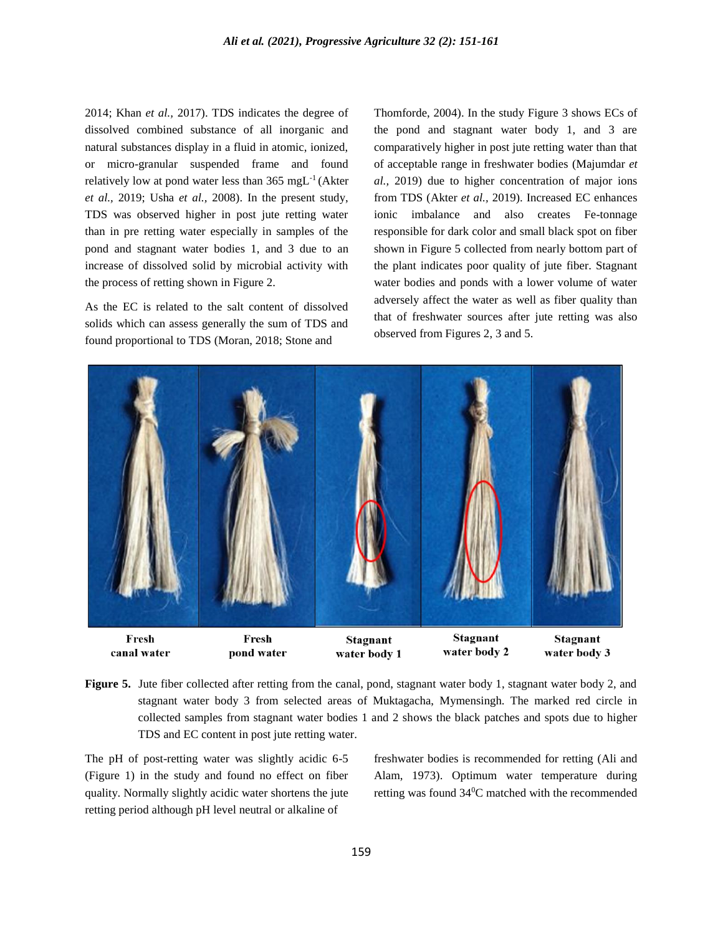2014; Khan *et al.,* 2017). TDS indicates the degree of dissolved combined substance of all inorganic and natural substances display in a fluid in atomic, ionized, or micro-granular suspended frame and found relatively low at pond water less than  $365 \text{ mgL}^{-1}$  (Akter *et al.,* 2019; Usha *et al.,* 2008). In the present study, TDS was observed higher in post jute retting water than in pre retting water especially in samples of the pond and stagnant water bodies 1, and 3 due to an increase of dissolved solid by microbial activity with the process of retting shown in Figure 2.

As the EC is related to the salt content of dissolved solids which can assess generally the sum of TDS and found proportional to TDS (Moran, 2018; Stone and

Thomforde, 2004). In the study Figure 3 shows ECs of the pond and stagnant water body 1, and 3 are comparatively higher in post jute retting water than that of acceptable range in freshwater bodies (Majumdar *et al.,* 2019) due to higher concentration of major ions from TDS (Akter *et al.,* 2019). Increased EC enhances ionic imbalance and also creates Fe-tonnage responsible for dark color and small black spot on fiber shown in Figure 5 collected from nearly bottom part of the plant indicates poor quality of jute fiber. Stagnant water bodies and ponds with a lower volume of water adversely affect the water as well as fiber quality than that of freshwater sources after jute retting was also observed from Figures 2, 3 and 5.



**Figure 5.** Jute fiber collected after retting from the canal, pond, stagnant water body 1, stagnant water body 2, and stagnant water body 3 from selected areas of Muktagacha, Mymensingh. The marked red circle in collected samples from stagnant water bodies 1 and 2 shows the black patches and spots due to higher TDS and EC content in post jute retting water.

The pH of post-retting water was slightly acidic 6-5 (Figure 1) in the study and found no effect on fiber quality. Normally slightly acidic water shortens the jute retting period although pH level neutral or alkaline of

freshwater bodies is recommended for retting (Ali and Alam, 1973). Optimum water temperature during retting was found 340C matched with the recommended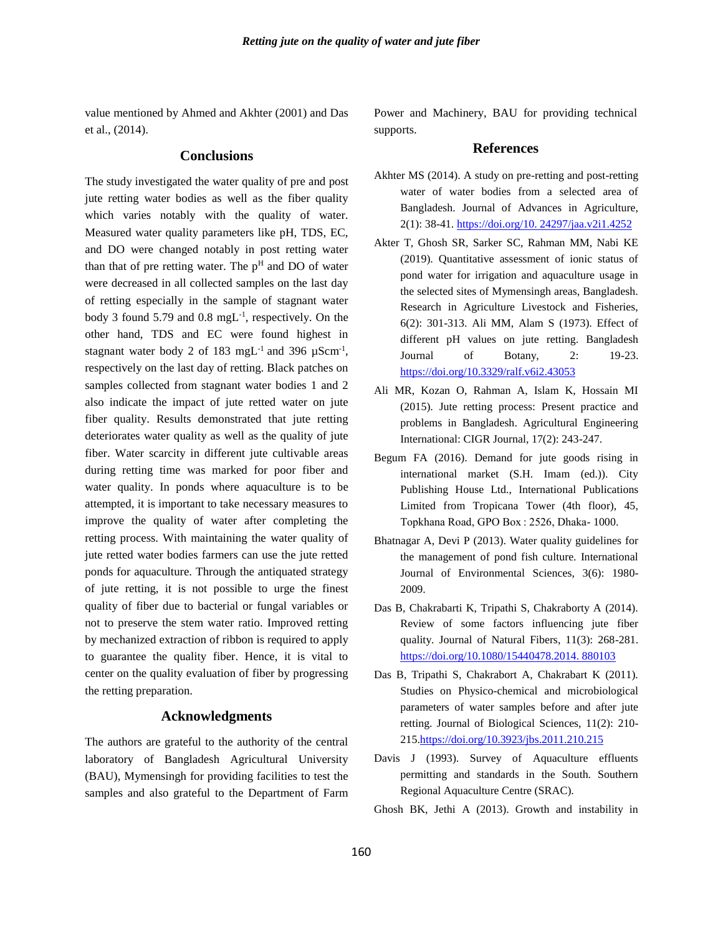value mentioned by Ahmed and Akhter (2001) and Das et al., (2014).

## **Conclusions**

The study investigated the water quality of pre and post jute retting water bodies as well as the fiber quality which varies notably with the quality of water. Measured water quality parameters like pH, TDS, EC, and DO were changed notably in post retting water than that of pre retting water. The  $p<sup>H</sup>$  and DO of water were decreased in all collected samples on the last day of retting especially in the sample of stagnant water body 3 found  $5.79$  and  $0.8 \text{ mgL}^{-1}$ , respectively. On the other hand, TDS and EC were found highest in stagnant water body 2 of 183 mgL $^{-1}$  and 396  $\mu$ Scm $^{-1}$ , respectively on the last day of retting. Black patches on samples collected from stagnant water bodies 1 and 2 also indicate the impact of jute retted water on jute fiber quality. Results demonstrated that jute retting deteriorates water quality as well as the quality of jute fiber. Water scarcity in different jute cultivable areas during retting time was marked for poor fiber and water quality. In ponds where aquaculture is to be attempted, it is important to take necessary measures to improve the quality of water after completing the retting process. With maintaining the water quality of jute retted water bodies farmers can use the jute retted ponds for aquaculture. Through the antiquated strategy of jute retting, it is not possible to urge the finest quality of fiber due to bacterial or fungal variables or not to preserve the stem water ratio. Improved retting by mechanized extraction of ribbon is required to apply to guarantee the quality fiber. Hence, it is vital to center on the quality evaluation of fiber by progressing the retting preparation.

#### **Acknowledgments**

The authors are grateful to the authority of the central laboratory of Bangladesh Agricultural University (BAU), Mymensingh for providing facilities to test the samples and also grateful to the Department of Farm Power and Machinery, BAU for providing technical supports.

### **References**

- Akhter MS (2014). A study on pre-retting and post-retting water of water bodies from a selected area of Bangladesh. Journal of Advances in Agriculture, 2(1): 38-41. [https://doi.org/10. 24297/jaa.v2i1.4252](https://doi.org/10.%2024297/jaa.v2i1.4252)
- Akter T, Ghosh SR, Sarker SC, Rahman MM, Nabi KE (2019). Quantitative assessment of ionic status of pond water for irrigation and aquaculture usage in the selected sites of Mymensingh areas, Bangladesh. Research in Agriculture Livestock and Fisheries, 6(2): 301-313. Ali MM, Alam S (1973). Effect of different pH values on jute retting. Bangladesh Journal of Botany, 2: 19-23. <https://doi.org/10.3329/ralf.v6i2.43053>
- Ali MR, Kozan O, Rahman A, Islam K, Hossain MI (2015). Jute retting process: Present practice and problems in Bangladesh. Agricultural Engineering International: CIGR Journal, 17(2): 243-247.
- Begum FA (2016). Demand for jute goods rising in international market (S.H. Imam (ed.)). City Publishing House Ltd., International Publications Limited from Tropicana Tower (4th floor), 45, Topkhana Road, GPO Box : 2526, Dhaka- 1000.
- Bhatnagar A, Devi P (2013). Water quality guidelines for the management of pond fish culture. International Journal of Environmental Sciences, 3(6): 1980- 2009.
- Das B, Chakrabarti K, Tripathi S, Chakraborty A (2014). Review of some factors influencing jute fiber quality. Journal of Natural Fibers, 11(3): 268-281. [https://doi.org/10.1080/15440478.2014. 880103](https://doi.org/10.1080/15440478.2014.%20880103)
- Das B, Tripathi S, Chakrabort A, Chakrabart K (2011). Studies on Physico-chemical and microbiological parameters of water samples before and after jute retting. Journal of Biological Sciences, 11(2): 210- 21[5.https://doi.org/10.3923/jbs.2011.210.215](https://doi.org/10.3923/jbs.2011.210.215)
- Davis J (1993). Survey of Aquaculture effluents permitting and standards in the South. Southern Regional Aquaculture Centre (SRAC).
- Ghosh BK, Jethi A (2013). Growth and instability in